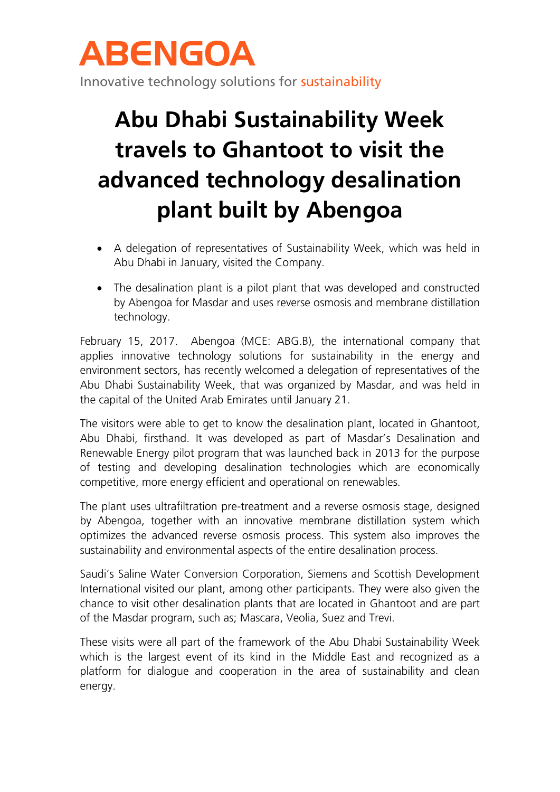

Innovative technology solutions for sustainability

## **Abu Dhabi Sustainability Week travels to Ghantoot to visit the advanced technology desalination plant built by Abengoa**

- A delegation of representatives of Sustainability Week, which was held in Abu Dhabi in January, visited the Company.
- The desalination plant is a pilot plant that was developed and constructed by Abengoa for Masdar and uses reverse osmosis and membrane distillation technology.

February 15, 2017. Abengoa (MCE: ABG.B), the international company that applies innovative technology solutions for sustainability in the energy and environment sectors, has recently welcomed a delegation of representatives of the Abu Dhabi Sustainability Week, that was organized by Masdar, and was held in the capital of the United Arab Emirates until January 21.

The visitors were able to get to know the desalination plant, located in Ghantoot, Abu Dhabi, firsthand. It was developed as part of Masdar's Desalination and Renewable Energy pilot program that was launched back in 2013 for the purpose of testing and developing desalination technologies which are economically competitive, more energy efficient and operational on renewables.

The plant uses ultrafiltration pre-treatment and a reverse osmosis stage, designed by Abengoa, together with an innovative membrane distillation system which optimizes the advanced reverse osmosis process. This system also improves the sustainability and environmental aspects of the entire desalination process.

Saudi's Saline Water Conversion Corporation, Siemens and Scottish Development International visited our plant, among other participants. They were also given the chance to visit other desalination plants that are located in Ghantoot and are part of the Masdar program, such as; Mascara, Veolia, Suez and Trevi.

These visits were all part of the framework of the Abu Dhabi Sustainability Week which is the largest event of its kind in the Middle East and recognized as a platform for dialogue and cooperation in the area of sustainability and clean energy.